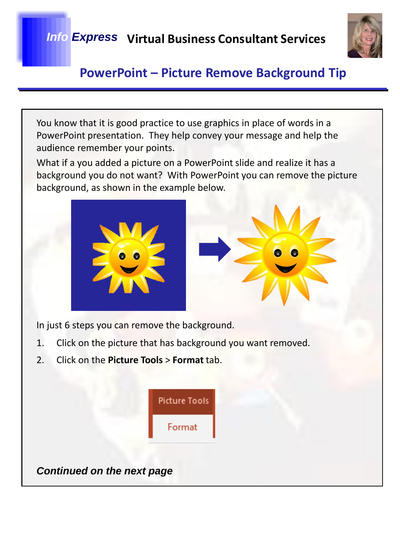

### **PowerPoint – Picture Remove Background Tip**

You know that it is good practice to use graphics in place of words in a PowerPoint presentation. They help convey your message and help the audience remember your points.

What if a you added a picture on a PowerPoint slide and realize it has a background you do not want? With PowerPoint you can remove the picture background, as shown in the example below.



In just 6 steps you can remove the background.

- 1. Click on the picture that has background you want removed.
- 2. Click on the **Picture Tools** > **Format** tab.



*Continued on the next page*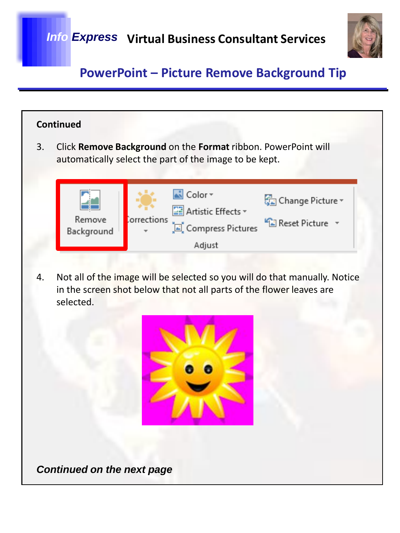

## **PowerPoint – Picture Remove Background Tip**

# **Continued** 3. Click **Remove Background** on the **Format** ribbon. PowerPoint will automatically select the part of the image to be kept.  $\overline{\mathbb{R}}$  Color  $\overline{\mathbb{R}}$ Change Picture ~ **23** Artistic Effects v Remove `orrections <sup>4</sup> Reset Picture \* Compress Pictures Background Adjust 4. Not all of the image will be selected so you will do that manually. Notice in the screen shot below that not all parts of the flower leaves are selected. *Continued on the next page*